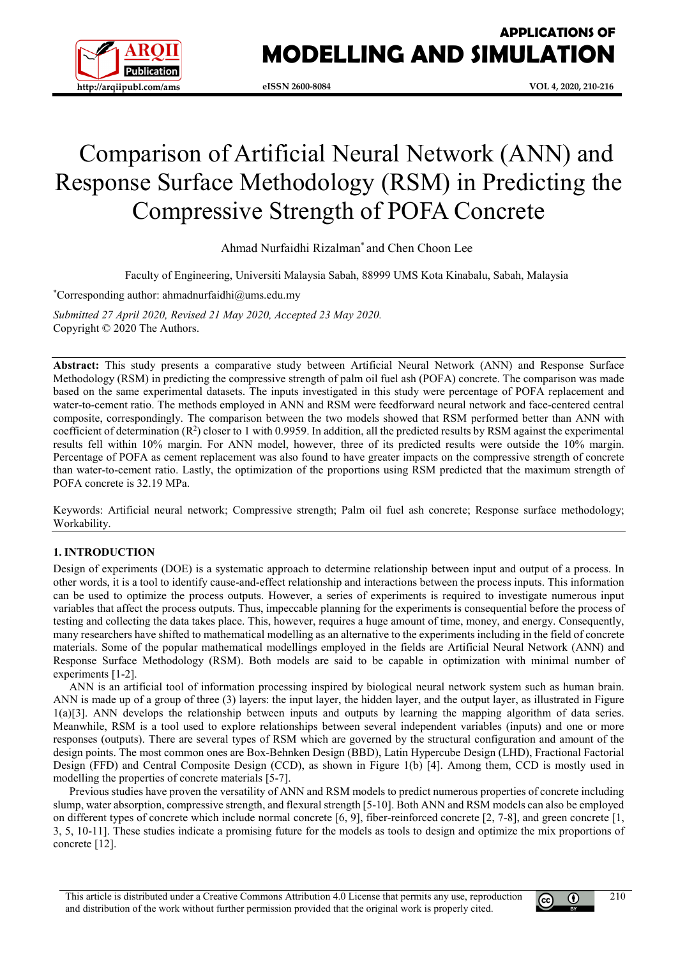

# **APPLICATIONS OF MODELLING AND SIMULATION**

# Comparison of Artificial Neural Network (ANN) and Response Surface Methodology (RSM) in Predicting the Compressive Strength of POFA Concrete

Ahmad Nurfaidhi Rizalman\* and Chen Choon Lee

Faculty of Engineering, Universiti Malaysia Sabah, 88999 UMS Kota Kinabalu, Sabah, Malaysia

\* Corresponding author: ahmadnurfaidhi@ums.edu.my

*Submitted 27 April 2020, Revised 21 May 2020, Accepted 23 May 2020.* Copyright © 2020 The Authors.

**Abstract:** This study presents a comparative study between Artificial Neural Network (ANN) and Response Surface Methodology (RSM) in predicting the compressive strength of palm oil fuel ash (POFA) concrete. The comparison was made based on the same experimental datasets. The inputs investigated in this study were percentage of POFA replacement and water-to-cement ratio. The methods employed in ANN and RSM were feedforward neural network and face-centered central composite, correspondingly. The comparison between the two models showed that RSM performed better than ANN with coefficient of determination  $(R^2)$  closer to 1 with 0.9959. In addition, all the predicted results by RSM against the experimental results fell within 10% margin. For ANN model, however, three of its predicted results were outside the 10% margin. Percentage of POFA as cement replacement was also found to have greater impacts on the compressive strength of concrete than water-to-cement ratio. Lastly, the optimization of the proportions using RSM predicted that the maximum strength of POFA concrete is 32.19 MPa.

Keywords: Artificial neural network; Compressive strength; Palm oil fuel ash concrete; Response surface methodology; Workability.

# **1. INTRODUCTION**

Design of experiments (DOE) is a systematic approach to determine relationship between input and output of a process. In other words, it is a tool to identify cause-and-effect relationship and interactions between the process inputs. This information can be used to optimize the process outputs. However, a series of experiments is required to investigate numerous input variables that affect the process outputs. Thus, impeccable planning for the experiments is consequential before the process of testing and collecting the data takes place. This, however, requires a huge amount of time, money, and energy. Consequently, many researchers have shifted to mathematical modelling as an alternative to the experiments including in the field of concrete materials. Some of the popular mathematical modellings employed in the fields are Artificial Neural Network (ANN) and Response Surface Methodology (RSM). Both models are said to be capable in optimization with minimal number of experiments [1-2].

ANN is an artificial tool of information processing inspired by biological neural network system such as human brain. ANN is made up of a group of three (3) layers: the input layer, the hidden layer, and the output layer, as illustrated in Figure 1(a)[3]. ANN develops the relationship between inputs and outputs by learning the mapping algorithm of data series. Meanwhile, RSM is a tool used to explore relationships between several independent variables (inputs) and one or more responses (outputs). There are several types of RSM which are governed by the structural configuration and amount of the design points. The most common ones are Box-Behnken Design (BBD), Latin Hypercube Design (LHD), Fractional Factorial Design (FFD) and Central Composite Design (CCD), as shown in Figure 1(b) [4]. Among them, CCD is mostly used in modelling the properties of concrete materials [5-7].

Previous studies have proven the versatility of ANN and RSM models to predict numerous properties of concrete including slump, water absorption, compressive strength, and flexural strength [5-10]. Both ANN and RSM models can also be employed on different types of concrete which include normal concrete [6, 9], fiber-reinforced concrete [2, 7-8], and green concrete [1, 3, 5, 10-11]. These studies indicate a promising future for the models as tools to design and optimize the mix proportions of concrete [12].



210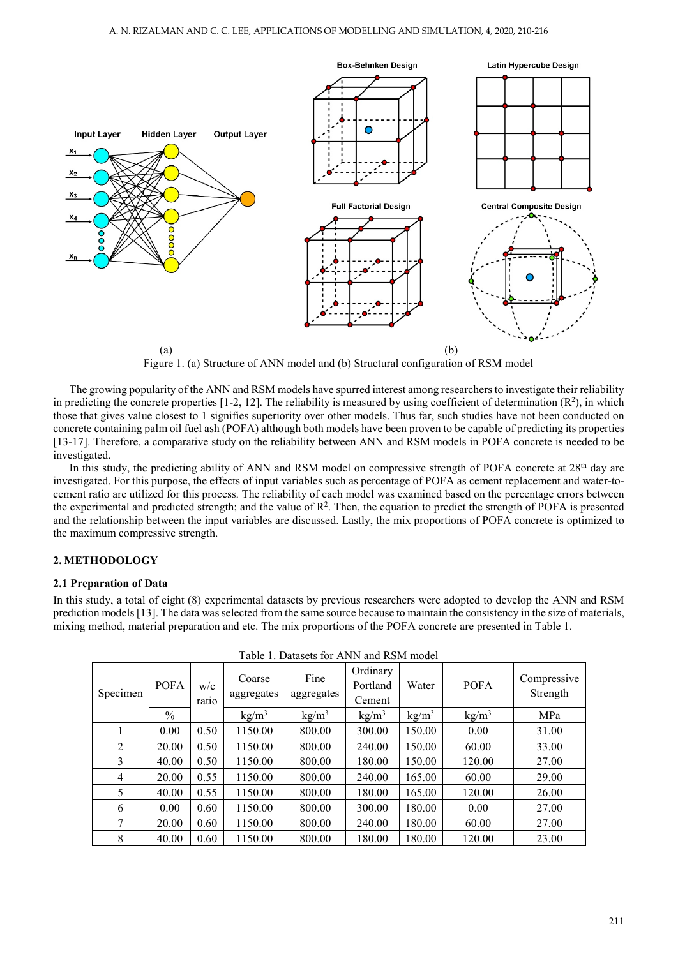

Figure 1. (a) Structure of ANN model and (b) Structural configuration of RSM model

The growing popularity of the ANN and RSM models have spurred interest among researchers to investigate their reliability in predicting the concrete properties [1-2, 12]. The reliability is measured by using coefficient of determination  $(\mathbb{R}^2)$ , in which those that gives value closest to 1 signifies superiority over other models. Thus far, such studies have not been conducted on concrete containing palm oil fuel ash (POFA) although both models have been proven to be capable of predicting its properties [13-17]. Therefore, a comparative study on the reliability between ANN and RSM models in POFA concrete is needed to be investigated.

In this study, the predicting ability of ANN and RSM model on compressive strength of POFA concrete at  $28<sup>th</sup>$  day are investigated. For this purpose, the effects of input variables such as percentage of POFA as cement replacement and water-tocement ratio are utilized for this process. The reliability of each model was examined based on the percentage errors between the experimental and predicted strength; and the value of  $R^2$ . Then, the equation to predict the strength of POFA is presented and the relationship between the input variables are discussed. Lastly, the mix proportions of POFA concrete is optimized to the maximum compressive strength.

# **2. METHODOLOGY**

#### **2.1 Preparation of Data**

In this study, a total of eight (8) experimental datasets by previous researchers were adopted to develop the ANN and RSM prediction models [13]. The data was selected from the same source because to maintain the consistency in the size of materials, mixing method, material preparation and etc. The mix proportions of the POFA concrete are presented in Table 1.

| Table 1. Datasets for ANN and RSM model |               |              |                      |                    |                                |                 |                 |                         |
|-----------------------------------------|---------------|--------------|----------------------|--------------------|--------------------------------|-----------------|-----------------|-------------------------|
| Specimen                                | <b>POFA</b>   | W/c<br>ratio | Coarse<br>aggregates | Fine<br>aggregates | Ordinary<br>Portland<br>Cement | Water           | <b>POFA</b>     | Compressive<br>Strength |
|                                         | $\frac{0}{0}$ |              | kg/m <sup>3</sup>    | kg/m <sup>3</sup>  | $\text{kg/m}^3$                | $\text{kg/m}^3$ | $\text{kg/m}^3$ | MPa                     |
|                                         | 0.00          | 0.50         | 1150.00              | 800.00             | 300.00                         | 150.00          | 0.00            | 31.00                   |
| 2                                       | 20.00         | 0.50         | 1150.00              | 800.00             | 240.00                         | 150.00          | 60.00           | 33.00                   |
| 3                                       | 40.00         | 0.50         | 1150.00              | 800.00             | 180.00                         | 150.00          | 120.00          | 27.00                   |
| $\overline{4}$                          | 20.00         | 0.55         | 1150.00              | 800.00             | 240.00                         | 165.00          | 60.00           | 29.00                   |
| 5                                       | 40.00         | 0.55         | 1150.00              | 800.00             | 180.00                         | 165.00          | 120.00          | 26.00                   |
| 6                                       | 0.00          | 0.60         | 1150.00              | 800.00             | 300.00                         | 180.00          | 0.00            | 27.00                   |
| 7                                       | 20.00         | 0.60         | 1150.00              | 800.00             | 240.00                         | 180.00          | 60.00           | 27.00                   |
| 8                                       | 40.00         | 0.60         | 1150.00              | 800.00             | 180.00                         | 180.00          | 120.00          | 23.00                   |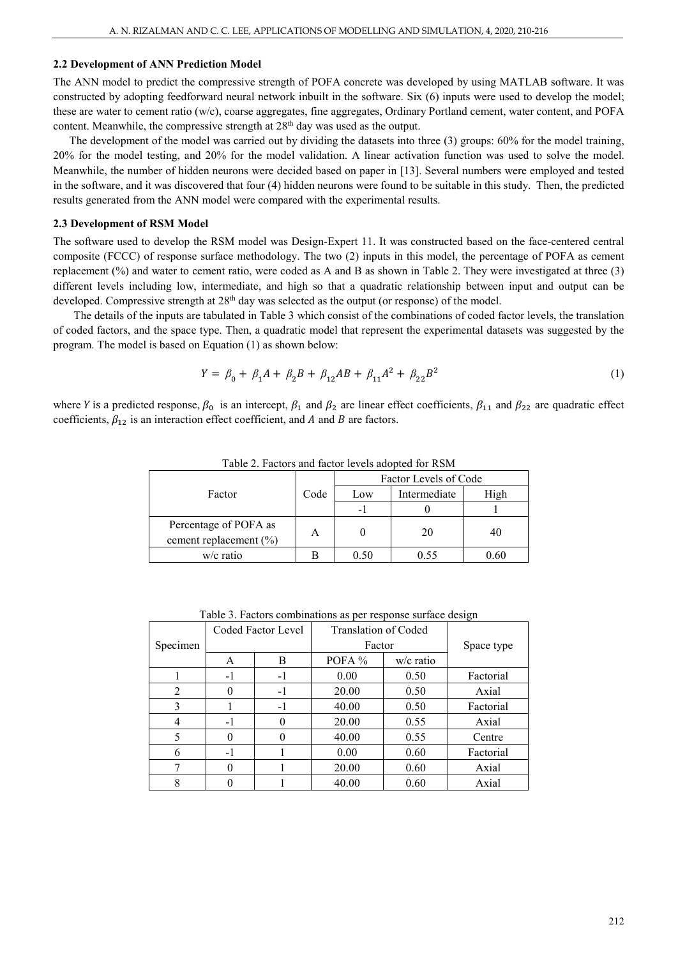#### **2.2 Development of ANN Prediction Model**

The ANN model to predict the compressive strength of POFA concrete was developed by using MATLAB software. It was constructed by adopting feedforward neural network inbuilt in the software. Six (6) inputs were used to develop the model; these are water to cement ratio (w/c), coarse aggregates, fine aggregates, Ordinary Portland cement, water content, and POFA content. Meanwhile, the compressive strength at 28<sup>th</sup> day was used as the output.

The development of the model was carried out by dividing the datasets into three (3) groups: 60% for the model training, 20% for the model testing, and 20% for the model validation. A linear activation function was used to solve the model. Meanwhile, the number of hidden neurons were decided based on paper in [13]. Several numbers were employed and tested in the software, and it was discovered that four (4) hidden neurons were found to be suitable in this study. Then, the predicted results generated from the ANN model were compared with the experimental results.

#### **2.3 Development of RSM Model**

The software used to develop the RSM model was Design-Expert 11. It was constructed based on the face-centered central composite (FCCC) of response surface methodology. The two (2) inputs in this model, the percentage of POFA as cement replacement (%) and water to cement ratio, were coded as A and B as shown in Table 2. They were investigated at three (3) different levels including low, intermediate, and high so that a quadratic relationship between input and output can be developed. Compressive strength at  $28<sup>th</sup>$  day was selected as the output (or response) of the model.

The details of the inputs are tabulated in Table 3 which consist of the combinations of coded factor levels, the translation of coded factors, and the space type. Then, a quadratic model that represent the experimental datasets was suggested by the program. The model is based on Equation (1) as shown below:

$$
Y = \beta_0 + \beta_1 A + \beta_2 B + \beta_{12} A B + \beta_{11} A^2 + \beta_{22} B^2
$$
 (1)

where Y is a predicted response,  $\beta_0$  is an intercept,  $\beta_1$  and  $\beta_2$  are linear effect coefficients,  $\beta_{11}$  and  $\beta_{22}$  are quadratic effect coefficients,  $\beta_{12}$  is an interaction effect coefficient, and A and B are factors.

| I able 2. Factors and factor levels adopted for RSM |      |                       |              |      |  |  |
|-----------------------------------------------------|------|-----------------------|--------------|------|--|--|
|                                                     |      | Factor Levels of Code |              |      |  |  |
| Factor                                              | Code | Low                   | Intermediate | High |  |  |
|                                                     |      |                       |              |      |  |  |
| Percentage of POFA as<br>cement replacement (%)     |      |                       | 20           | 40   |  |  |
| $w/c$ ratio                                         |      | 0.50                  |              | 1.60 |  |  |

Table 2. Factors and factor levels adopted for RSM

Table 3. Factors combinations as per response surface design

|                |                    |          |                      |             | $\circ$   |
|----------------|--------------------|----------|----------------------|-------------|-----------|
|                | Coded Factor Level |          | Translation of Coded |             |           |
| Specimen       |                    |          | Factor               | Space type  |           |
|                | A                  | В        | POFA %               | $w/c$ ratio |           |
|                | -1                 | -1       | 0.00                 | 0.50        | Factorial |
| $\overline{2}$ |                    | -1       | 20.00                | 0.50        | Axial     |
| 3              |                    | $-1$     | 40.00                | 0.50        | Factorial |
|                | $-1$               | $\theta$ | 20.00                | 0.55        | Axial     |
| 5              |                    | 0        | 40.00                | 0.55        | Centre    |
| 6              | $-1$               |          | 0.00                 | 0.60        | Factorial |
|                |                    |          | 20.00                | 0.60        | Axial     |
| 8              |                    |          | 40.00                | 0.60        | Axial     |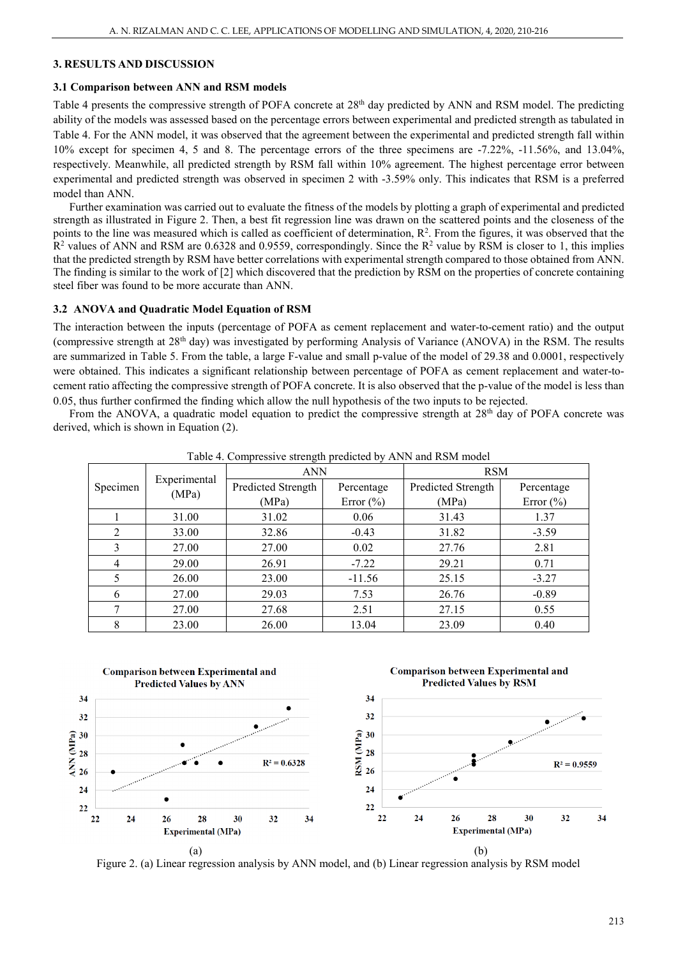#### **3. RESULTS AND DISCUSSION**

#### **3.1 Comparison between ANN and RSM models**

Table 4 presents the compressive strength of POFA concrete at 28<sup>th</sup> day predicted by ANN and RSM model. The predicting ability of the models was assessed based on the percentage errors between experimental and predicted strength as tabulated in Table 4. For the ANN model, it was observed that the agreement between the experimental and predicted strength fall within 10% except for specimen 4, 5 and 8. The percentage errors of the three specimens are -7.22%, -11.56%, and 13.04%, respectively. Meanwhile, all predicted strength by RSM fall within 10% agreement. The highest percentage error between experimental and predicted strength was observed in specimen 2 with -3.59% only. This indicates that RSM is a preferred model than ANN.

Further examination was carried out to evaluate the fitness of the models by plotting a graph of experimental and predicted strength as illustrated in Figure 2. Then, a best fit regression line was drawn on the scattered points and the closeness of the points to the line was measured which is called as coefficient of determination,  $R^2$ . From the figures, it was observed that the  $R<sup>2</sup>$  values of ANN and RSM are 0.6328 and 0.9559, correspondingly. Since the  $R<sup>2</sup>$  value by RSM is closer to 1, this implies that the predicted strength by RSM have better correlations with experimental strength compared to those obtained from ANN. The finding is similar to the work of [2] which discovered that the prediction by RSM on the properties of concrete containing steel fiber was found to be more accurate than ANN.

### **3.2 ANOVA and Quadratic Model Equation of RSM**

The interaction between the inputs (percentage of POFA as cement replacement and water-to-cement ratio) and the output (compressive strength at 28th day) was investigated by performing Analysis of Variance (ANOVA) in the RSM. The results are summarized in Table 5. From the table, a large F-value and small p-value of the model of 29.38 and 0.0001, respectively were obtained. This indicates a significant relationship between percentage of POFA as cement replacement and water-tocement ratio affecting the compressive strength of POFA concrete. It is also observed that the p-value of the model is less than 0.05, thus further confirmed the finding which allow the null hypothesis of the two inputs to be rejected.

From the ANOVA, a quadratic model equation to predict the compressive strength at  $28<sup>th</sup>$  day of POFA concrete was derived, which is shown in Equation (2).

| Lable 4. Compressive sucrigin predicted by Arviv and KSIVI model |              |                    |               |                    |               |  |
|------------------------------------------------------------------|--------------|--------------------|---------------|--------------------|---------------|--|
| Specimen                                                         |              | <b>ANN</b>         |               | <b>RSM</b>         |               |  |
|                                                                  | Experimental | Predicted Strength | Percentage    | Predicted Strength | Percentage    |  |
|                                                                  | (MPa)        | (MPa)              | Error $(\% )$ | (MPa)              | Error $(\% )$ |  |
|                                                                  | 31.00        | 31.02              | 0.06          | 31.43              | 1.37          |  |
| 2                                                                | 33.00        | 32.86              | $-0.43$       | 31.82              | $-3.59$       |  |
| 3                                                                | 27.00        | 27.00              | 0.02          | 27.76              | 2.81          |  |
| 4                                                                | 29.00        | 26.91              | $-7.22$       | 29.21              | 0.71          |  |
| 5                                                                | 26.00        | 23.00              | $-11.56$      | 25.15              | $-3.27$       |  |
| 6                                                                | 27.00        | 29.03              | 7.53          | 26.76              | $-0.89$       |  |
| 7                                                                | 27.00        | 27.68              | 2.51          | 27.15              | 0.55          |  |
| 8                                                                | 23.00        | 26.00              | 13.04         | 23.09              | 0.40          |  |

Table 4. Compressive strength predicted by ANN and RSM model



Figure 2. (a) Linear regression analysis by ANN model, and (b) Linear regression analysis by RSM model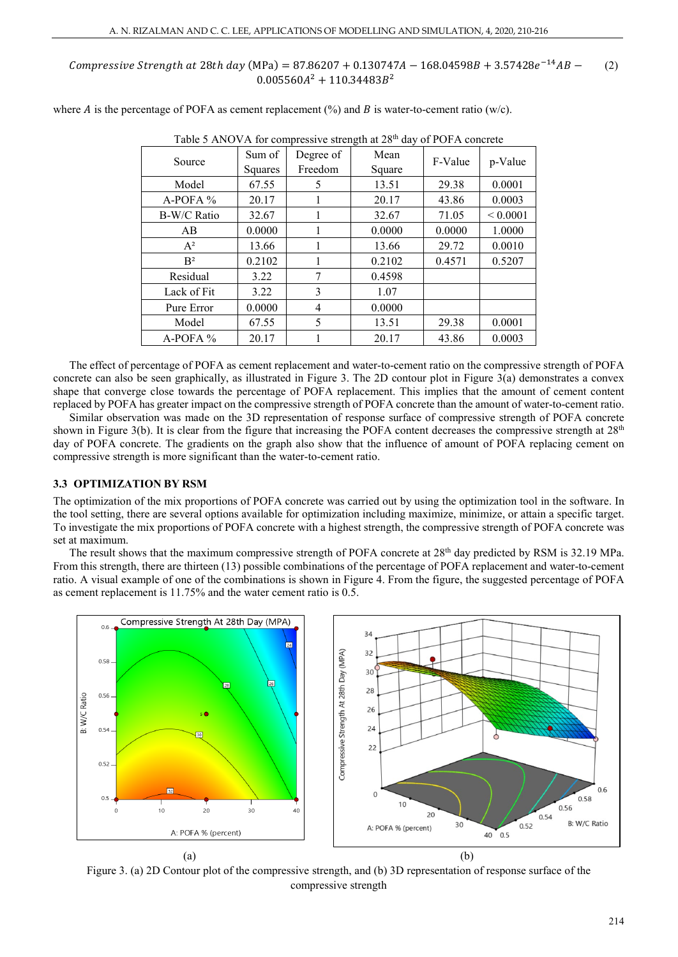Compressive Strength at 28th day (MPa) = 87.86207 + 0.130747A - 168.04598B + 3.57428e<sup>-14</sup>AB - $0.005560A^{2} + 110.34483B^{2}$ (2)

| Table 5 ANOVA for compressive strength at 28 <sup>th</sup> day of POFA concrete |                   |                      |                |         |              |  |  |
|---------------------------------------------------------------------------------|-------------------|----------------------|----------------|---------|--------------|--|--|
| Source                                                                          | Sum of<br>Squares | Degree of<br>Freedom | Mean<br>Square | F-Value | p-Value      |  |  |
| Model                                                                           | 67.55             | 5                    | 13.51          | 29.38   | 0.0001       |  |  |
| A-POFA %                                                                        | 20.17             |                      | 20.17          | 43.86   | 0.0003       |  |  |
| <b>B-W/C Ratio</b>                                                              | 32.67             |                      | 32.67          | 71.05   | ${}< 0.0001$ |  |  |
| AB                                                                              | 0.0000            | 1                    | 0.0000         | 0.0000  | 1.0000       |  |  |
| $A^2$                                                                           | 13.66             |                      | 13.66          | 29.72   | 0.0010       |  |  |
| B <sup>2</sup>                                                                  | 0.2102            |                      | 0.2102         | 0.4571  | 0.5207       |  |  |
| Residual                                                                        | 3.22              | 7                    | 0.4598         |         |              |  |  |
| Lack of Fit                                                                     | 3.22              | 3                    | 1.07           |         |              |  |  |
| Pure Error                                                                      | 0.0000            | 4                    | 0.0000         |         |              |  |  |
| Model                                                                           | 67.55             | 5                    | 13.51          | 29.38   | 0.0001       |  |  |
| A-POFA %                                                                        | 20.17             |                      | 20.17          | 43.86   | 0.0003       |  |  |

where A is the percentage of POFA as cement replacement (%) and B is water-to-cement ratio (w/c).

The effect of percentage of POFA as cement replacement and water-to-cement ratio on the compressive strength of POFA concrete can also be seen graphically, as illustrated in Figure 3. The 2D contour plot in Figure 3(a) demonstrates a convex shape that converge close towards the percentage of POFA replacement. This implies that the amount of cement content replaced by POFA has greater impact on the compressive strength of POFA concrete than the amount of water-to-cement ratio.

Similar observation was made on the 3D representation of response surface of compressive strength of POFA concrete shown in Figure 3(b). It is clear from the figure that increasing the POFA content decreases the compressive strength at  $28<sup>th</sup>$ day of POFA concrete. The gradients on the graph also show that the influence of amount of POFA replacing cement on compressive strength is more significant than the water-to-cement ratio.

#### **3.3 OPTIMIZATION BY RSM**

The optimization of the mix proportions of POFA concrete was carried out by using the optimization tool in the software. In the tool setting, there are several options available for optimization including maximize, minimize, or attain a specific target. To investigate the mix proportions of POFA concrete with a highest strength, the compressive strength of POFA concrete was set at maximum.

The result shows that the maximum compressive strength of POFA concrete at 28<sup>th</sup> day predicted by RSM is 32.19 MPa. From this strength, there are thirteen (13) possible combinations of the percentage of POFA replacement and water-to-cement ratio. A visual example of one of the combinations is shown in Figure 4. From the figure, the suggested percentage of POFA as cement replacement is 11.75% and the water cement ratio is 0.5.



Figure 3. (a) 2D Contour plot of the compressive strength, and (b) 3D representation of response surface of the compressive strength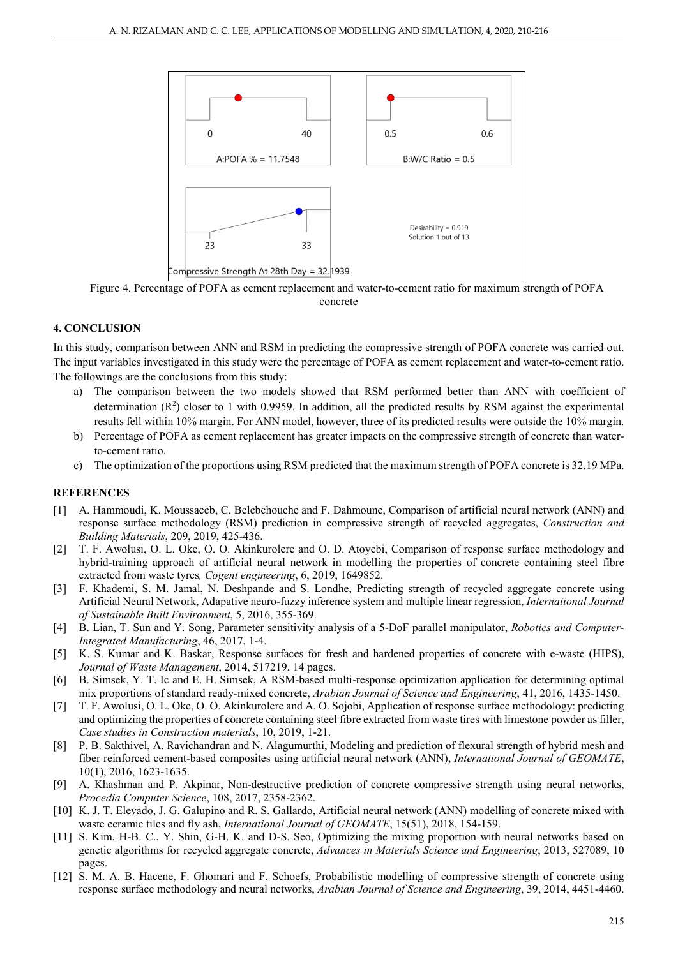

Figure 4. Percentage of POFA as cement replacement and water-to-cement ratio for maximum strength of POFA concrete

# **4. CONCLUSION**

In this study, comparison between ANN and RSM in predicting the compressive strength of POFA concrete was carried out. The input variables investigated in this study were the percentage of POFA as cement replacement and water-to-cement ratio. The followings are the conclusions from this study:

- a) The comparison between the two models showed that RSM performed better than ANN with coefficient of determination  $(R^2)$  closer to 1 with 0.9959. In addition, all the predicted results by RSM against the experimental results fell within 10% margin. For ANN model, however, three of its predicted results were outside the 10% margin.
- b) Percentage of POFA as cement replacement has greater impacts on the compressive strength of concrete than waterto-cement ratio.
- c) The optimization of the proportions using RSM predicted that the maximum strength of POFA concrete is 32.19 MPa.

# **REFERENCES**

- [1] A. Hammoudi, K. Moussaceb, C. Belebchouche and F. Dahmoune, Comparison of artificial neural network (ANN) and response surface methodology (RSM) prediction in compressive strength of recycled aggregates, *Construction and Building Materials*, 209, 2019, 425-436.
- [2] T. F. Awolusi, O. L. Oke, O. O. Akinkurolere and O. D. Atoyebi, Comparison of response surface methodology and hybrid-training approach of artificial neural network in modelling the properties of concrete containing steel fibre extracted from waste tyres*, Cogent engineering*, 6, 2019, 1649852.
- [3] F. Khademi, S. M. Jamal, N. Deshpande and S. Londhe, Predicting strength of recycled aggregate concrete using Artificial Neural Network, Adapative neuro-fuzzy inference system and multiple linear regression, *International Journal of Sustainable Built Environment*, 5, 2016, 355-369.
- [4] B. Lian, T. Sun and Y. Song, Parameter sensitivity analysis of a 5-DoF parallel manipulator, *Robotics and Computer-Integrated Manufacturing*, 46, 2017, 1-4.
- [5] K. S. Kumar and K. Baskar, Response surfaces for fresh and hardened properties of concrete with e-waste (HIPS), *Journal of Waste Management*, 2014, 517219, 14 pages.
- [6] B. Simsek, Y. T. Ic and E. H. Simsek, A RSM-based multi-response optimization application for determining optimal mix proportions of standard ready-mixed concrete, *Arabian Journal of Science and Engineering*, 41, 2016, 1435-1450.
- [7] T. F. Awolusi, O. L. Oke, O. O. Akinkurolere and A. O. Sojobi, Application of response surface methodology: predicting and optimizing the properties of concrete containing steel fibre extracted from waste tires with limestone powder as filler, *Case studies in Construction materials*, 10, 2019, 1-21.
- [8] P. B. Sakthivel, A. Ravichandran and N. Alagumurthi, Modeling and prediction of flexural strength of hybrid mesh and fiber reinforced cement-based composites using artificial neural network (ANN), *International Journal of GEOMATE*, 10(1), 2016, 1623-1635.
- [9] A. Khashman and P. Akpinar, Non-destructive prediction of concrete compressive strength using neural networks, *Procedia Computer Science*, 108, 2017, 2358-2362.
- [10] K. J. T. Elevado, J. G. Galupino and R. S. Gallardo, Artificial neural network (ANN) modelling of concrete mixed with waste ceramic tiles and fly ash, *International Journal of GEOMATE*, 15(51), 2018, 154-159.
- [11] S. Kim, H-B. C., Y. Shin, G-H. K. and D-S. Seo, Optimizing the mixing proportion with neural networks based on genetic algorithms for recycled aggregate concrete, *Advances in Materials Science and Engineering*, 2013, 527089, 10 pages.
- [12] S. M. A. B. Hacene, F. Ghomari and F. Schoefs, Probabilistic modelling of compressive strength of concrete using response surface methodology and neural networks, *Arabian Journal of Science and Engineering*, 39, 2014, 4451-4460.